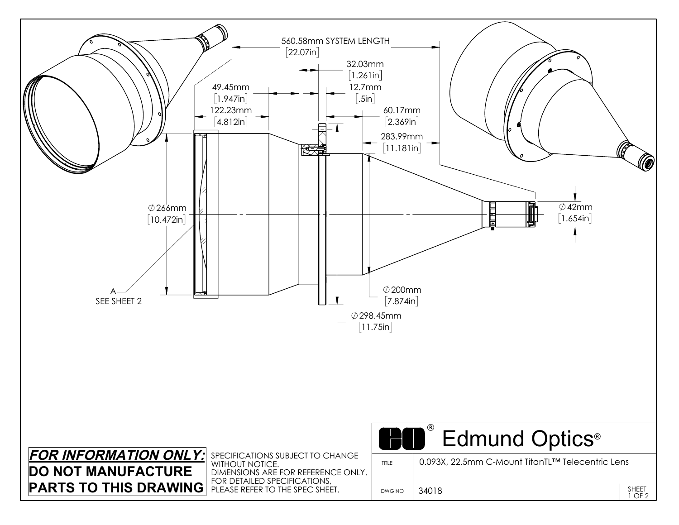